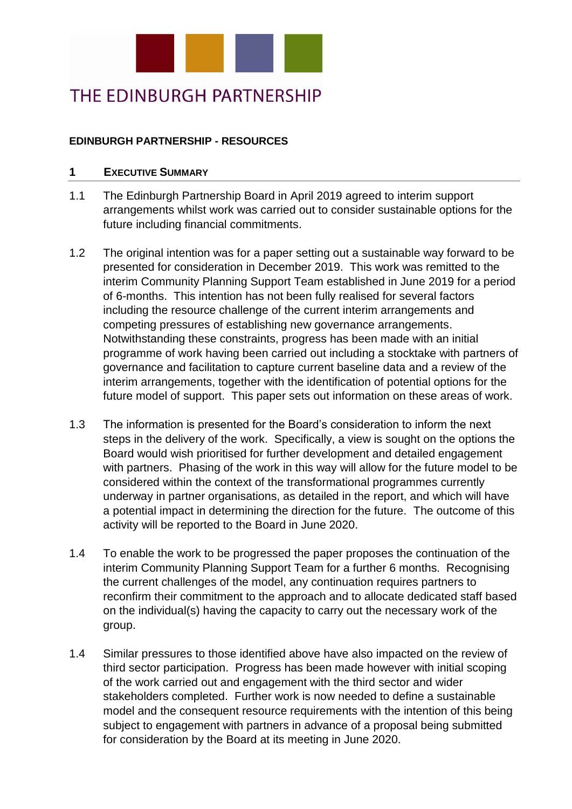

# THE EDINBURGH PARTNERSHIP

### **EDINBURGH PARTNERSHIP - RESOURCES**

#### **1 EXECUTIVE SUMMARY**

- 1.1 The Edinburgh Partnership Board in April 2019 agreed to interim support arrangements whilst work was carried out to consider sustainable options for the future including financial commitments.
- 1.2 The original intention was for a paper setting out a sustainable way forward to be presented for consideration in December 2019. This work was remitted to the interim Community Planning Support Team established in June 2019 for a period of 6-months. This intention has not been fully realised for several factors including the resource challenge of the current interim arrangements and competing pressures of establishing new governance arrangements. Notwithstanding these constraints, progress has been made with an initial programme of work having been carried out including a stocktake with partners of governance and facilitation to capture current baseline data and a review of the interim arrangements, together with the identification of potential options for the future model of support. This paper sets out information on these areas of work.
- 1.3 The information is presented for the Board's consideration to inform the next steps in the delivery of the work. Specifically, a view is sought on the options the Board would wish prioritised for further development and detailed engagement with partners. Phasing of the work in this way will allow for the future model to be considered within the context of the transformational programmes currently underway in partner organisations, as detailed in the report, and which will have a potential impact in determining the direction for the future. The outcome of this activity will be reported to the Board in June 2020.
- 1.4 To enable the work to be progressed the paper proposes the continuation of the interim Community Planning Support Team for a further 6 months. Recognising the current challenges of the model, any continuation requires partners to reconfirm their commitment to the approach and to allocate dedicated staff based on the individual(s) having the capacity to carry out the necessary work of the group.
- 1.4 Similar pressures to those identified above have also impacted on the review of third sector participation. Progress has been made however with initial scoping of the work carried out and engagement with the third sector and wider stakeholders completed. Further work is now needed to define a sustainable model and the consequent resource requirements with the intention of this being subject to engagement with partners in advance of a proposal being submitted for consideration by the Board at its meeting in June 2020.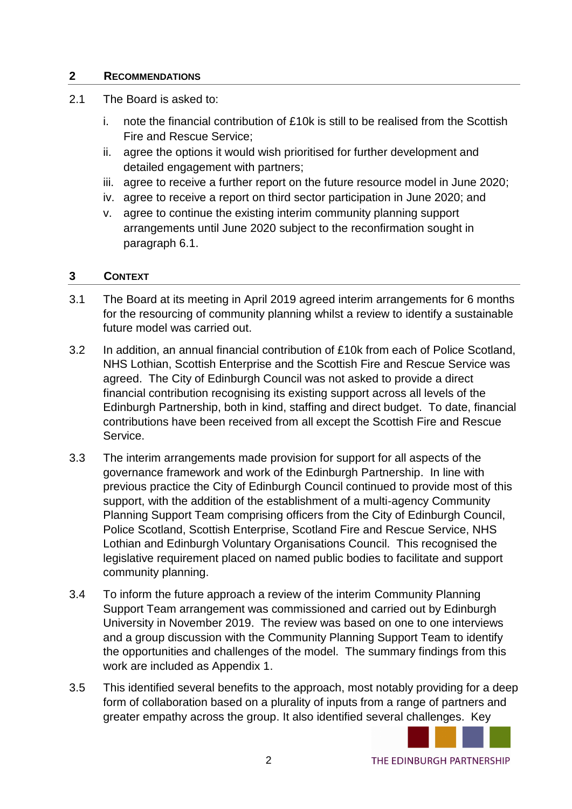### **2 RECOMMENDATIONS**

- 2.1 The Board is asked to:
	- i. note the financial contribution of £10k is still to be realised from the Scottish Fire and Rescue Service;
	- ii. agree the options it would wish prioritised for further development and detailed engagement with partners;
	- iii. agree to receive a further report on the future resource model in June 2020;
	- iv. agree to receive a report on third sector participation in June 2020; and
	- v. agree to continue the existing interim community planning support arrangements until June 2020 subject to the reconfirmation sought in paragraph 6.1.

### **3 CONTEXT**

- 3.1 The Board at its meeting in April 2019 agreed interim arrangements for 6 months for the resourcing of community planning whilst a review to identify a sustainable future model was carried out.
- 3.2 In addition, an annual financial contribution of £10k from each of Police Scotland, NHS Lothian, Scottish Enterprise and the Scottish Fire and Rescue Service was agreed. The City of Edinburgh Council was not asked to provide a direct financial contribution recognising its existing support across all levels of the Edinburgh Partnership, both in kind, staffing and direct budget. To date, financial contributions have been received from all except the Scottish Fire and Rescue Service.
- 3.3 The interim arrangements made provision for support for all aspects of the governance framework and work of the Edinburgh Partnership. In line with previous practice the City of Edinburgh Council continued to provide most of this support, with the addition of the establishment of a multi-agency Community Planning Support Team comprising officers from the City of Edinburgh Council, Police Scotland, Scottish Enterprise, Scotland Fire and Rescue Service, NHS Lothian and Edinburgh Voluntary Organisations Council. This recognised the legislative requirement placed on named public bodies to facilitate and support community planning.
- 3.4 To inform the future approach a review of the interim Community Planning Support Team arrangement was commissioned and carried out by Edinburgh University in November 2019. The review was based on one to one interviews and a group discussion with the Community Planning Support Team to identify the opportunities and challenges of the model. The summary findings from this work are included as Appendix 1.
- 3.5 This identified several benefits to the approach, most notably providing for a deep form of collaboration based on a plurality of inputs from a range of partners and greater empathy across the group. It also identified several challenges. Key

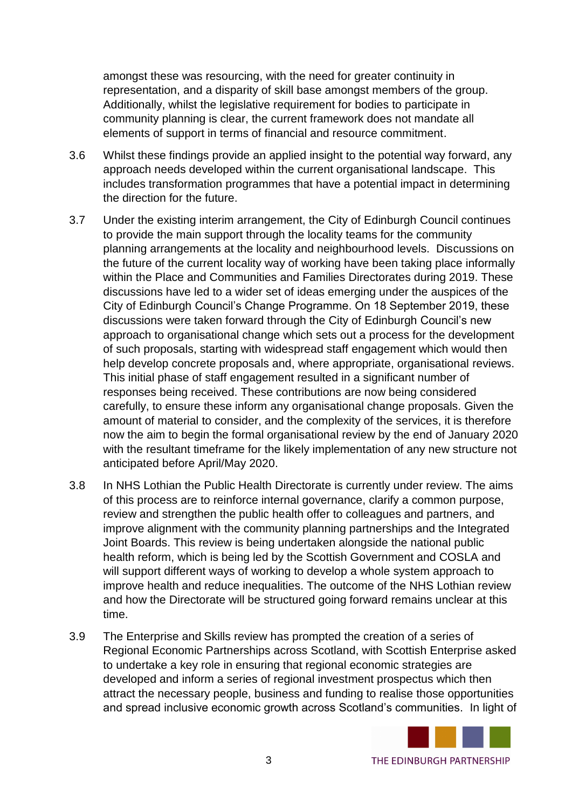amongst these was resourcing, with the need for greater continuity in representation, and a disparity of skill base amongst members of the group. Additionally, whilst the legislative requirement for bodies to participate in community planning is clear, the current framework does not mandate all elements of support in terms of financial and resource commitment.

- 3.6 Whilst these findings provide an applied insight to the potential way forward, any approach needs developed within the current organisational landscape. This includes transformation programmes that have a potential impact in determining the direction for the future.
- 3.7 Under the existing interim arrangement, the City of Edinburgh Council continues to provide the main support through the locality teams for the community planning arrangements at the locality and neighbourhood levels. Discussions on the future of the current locality way of working have been taking place informally within the Place and Communities and Families Directorates during 2019. These discussions have led to a wider set of ideas emerging under the auspices of the City of Edinburgh Council's Change Programme. On 18 September 2019, these discussions were taken forward through the City of Edinburgh Council's new approach to organisational change which sets out a process for the development of such proposals, starting with widespread staff engagement which would then help develop concrete proposals and, where appropriate, organisational reviews. This initial phase of staff engagement resulted in a significant number of responses being received. These contributions are now being considered carefully, to ensure these inform any organisational change proposals. Given the amount of material to consider, and the complexity of the services, it is therefore now the aim to begin the formal organisational review by the end of January 2020 with the resultant timeframe for the likely implementation of any new structure not anticipated before April/May 2020.
- 3.8 In NHS Lothian the Public Health Directorate is currently under review. The aims of this process are to reinforce internal governance, clarify a common purpose, review and strengthen the public health offer to colleagues and partners, and improve alignment with the community planning partnerships and the Integrated Joint Boards. This review is being undertaken alongside the national public health reform, which is being led by the Scottish Government and COSLA and will support different ways of working to develop a whole system approach to improve health and reduce inequalities. The outcome of the NHS Lothian review and how the Directorate will be structured going forward remains unclear at this time.
- 3.9 The Enterprise and Skills review has prompted the creation of a series of Regional Economic Partnerships across Scotland, with Scottish Enterprise asked to undertake a key role in ensuring that regional economic strategies are developed and inform a series of regional investment prospectus which then attract the necessary people, business and funding to realise those opportunities and spread inclusive economic growth across Scotland's communities. In light of

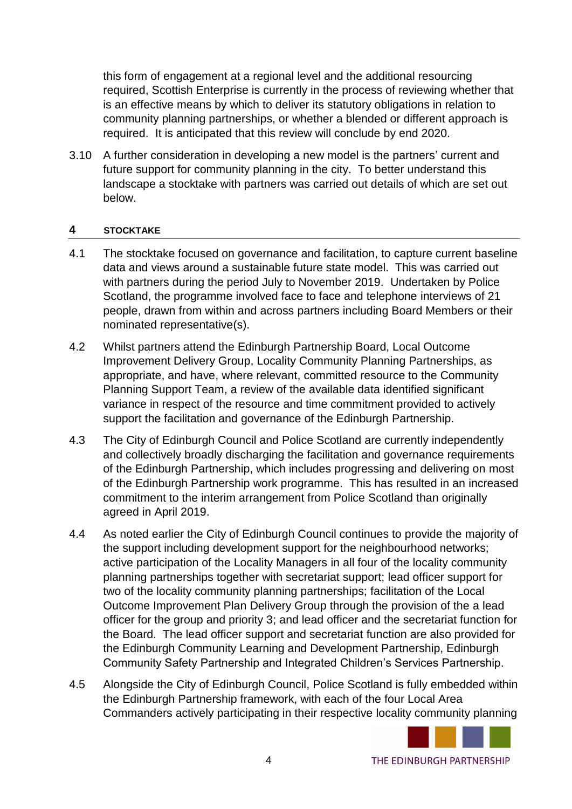this form of engagement at a regional level and the additional resourcing required, Scottish Enterprise is currently in the process of reviewing whether that is an effective means by which to deliver its statutory obligations in relation to community planning partnerships, or whether a blended or different approach is required. It is anticipated that this review will conclude by end 2020.

3.10 A further consideration in developing a new model is the partners' current and future support for community planning in the city. To better understand this landscape a stocktake with partners was carried out details of which are set out below.

### **4 STOCKTAKE**

- 4.1 The stocktake focused on governance and facilitation, to capture current baseline data and views around a sustainable future state model. This was carried out with partners during the period July to November 2019. Undertaken by Police Scotland, the programme involved face to face and telephone interviews of 21 people, drawn from within and across partners including Board Members or their nominated representative(s).
- 4.2 Whilst partners attend the Edinburgh Partnership Board, Local Outcome Improvement Delivery Group, Locality Community Planning Partnerships, as appropriate, and have, where relevant, committed resource to the Community Planning Support Team, a review of the available data identified significant variance in respect of the resource and time commitment provided to actively support the facilitation and governance of the Edinburgh Partnership.
- 4.3 The City of Edinburgh Council and Police Scotland are currently independently and collectively broadly discharging the facilitation and governance requirements of the Edinburgh Partnership, which includes progressing and delivering on most of the Edinburgh Partnership work programme. This has resulted in an increased commitment to the interim arrangement from Police Scotland than originally agreed in April 2019.
- 4.4 As noted earlier the City of Edinburgh Council continues to provide the majority of the support including development support for the neighbourhood networks; active participation of the Locality Managers in all four of the locality community planning partnerships together with secretariat support; lead officer support for two of the locality community planning partnerships; facilitation of the Local Outcome Improvement Plan Delivery Group through the provision of the a lead officer for the group and priority 3; and lead officer and the secretariat function for the Board. The lead officer support and secretariat function are also provided for the Edinburgh Community Learning and Development Partnership, Edinburgh Community Safety Partnership and Integrated Children's Services Partnership.
- 4.5 Alongside the City of Edinburgh Council, Police Scotland is fully embedded within the Edinburgh Partnership framework, with each of the four Local Area Commanders actively participating in their respective locality community planning

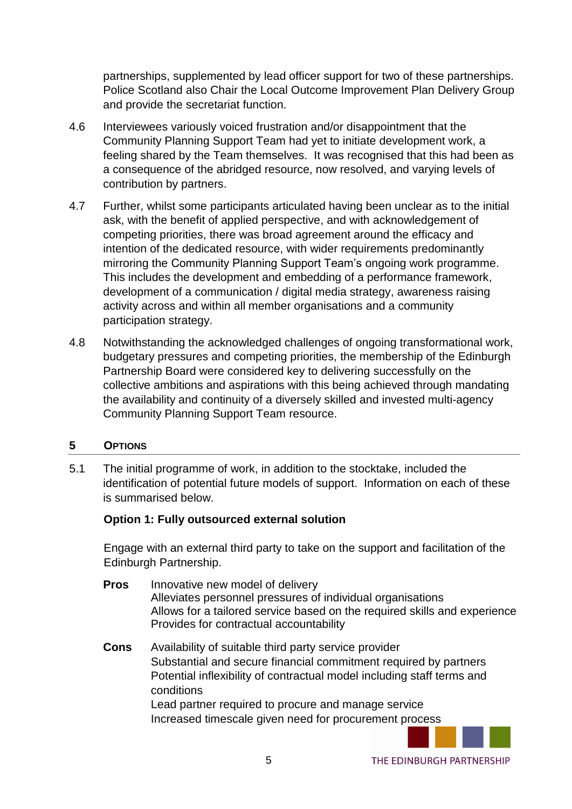partnerships, supplemented by lead officer support for two of these partnerships. Police Scotland also Chair the Local Outcome Improvement Plan Delivery Group and provide the secretariat function.

- 4.6 Interviewees variously voiced frustration and/or disappointment that the Community Planning Support Team had yet to initiate development work, a feeling shared by the Team themselves. It was recognised that this had been as a consequence of the abridged resource, now resolved, and varying levels of contribution by partners.
- 4.7 Further, whilst some participants articulated having been unclear as to the initial ask, with the benefit of applied perspective, and with acknowledgement of competing priorities, there was broad agreement around the efficacy and intention of the dedicated resource, with wider requirements predominantly mirroring the Community Planning Support Team's ongoing work programme. This includes the development and embedding of a performance framework, development of a communication / digital media strategy, awareness raising activity across and within all member organisations and a community participation strategy.
- 4.8 Notwithstanding the acknowledged challenges of ongoing transformational work, budgetary pressures and competing priorities, the membership of the Edinburgh Partnership Board were considered key to delivering successfully on the collective ambitions and aspirations with this being achieved through mandating the availability and continuity of a diversely skilled and invested multi-agency Community Planning Support Team resource.

### **5 OPTIONS**

5.1 The initial programme of work, in addition to the stocktake, included the identification of potential future models of support. Information on each of these is summarised below.

### **Option 1: Fully outsourced external solution**

Engage with an external third party to take on the support and facilitation of the Edinburgh Partnership.

- **Pros** Innovative new model of delivery Alleviates personnel pressures of individual organisations Allows for a tailored service based on the required skills and experience Provides for contractual accountability
- **Cons** Availability of suitable third party service provider Substantial and secure financial commitment required by partners Potential inflexibility of contractual model including staff terms and conditions Lead partner required to procure and manage service Increased timescale given need for procurement process

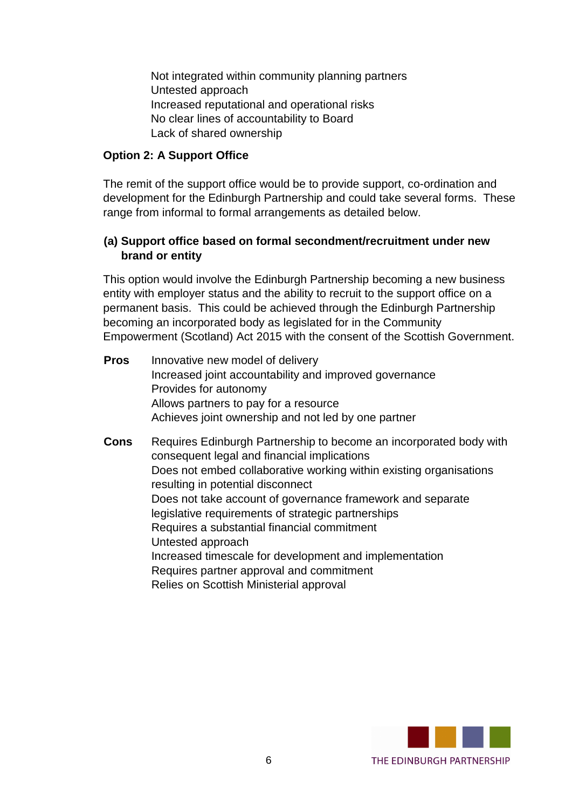Not integrated within community planning partners Untested approach Increased reputational and operational risks No clear lines of accountability to Board Lack of shared ownership

### **Option 2: A Support Office**

The remit of the support office would be to provide support, co-ordination and development for the Edinburgh Partnership and could take several forms. These range from informal to formal arrangements as detailed below.

### **(a) Support office based on formal secondment/recruitment under new brand or entity**

This option would involve the Edinburgh Partnership becoming a new business entity with employer status and the ability to recruit to the support office on a permanent basis. This could be achieved through the Edinburgh Partnership becoming an incorporated body as legislated for in the Community Empowerment (Scotland) Act 2015 with the consent of the Scottish Government.

| <b>Pros</b> | Innovative new model of delivery<br>Increased joint accountability and improved governance<br>Provides for autonomy<br>Allows partners to pay for a resource<br>Achieves joint ownership and not led by one partner                                                                                                                                                                                                                                                                                                                                                   |
|-------------|-----------------------------------------------------------------------------------------------------------------------------------------------------------------------------------------------------------------------------------------------------------------------------------------------------------------------------------------------------------------------------------------------------------------------------------------------------------------------------------------------------------------------------------------------------------------------|
| Cons        | Requires Edinburgh Partnership to become an incorporated body with<br>consequent legal and financial implications<br>Does not embed collaborative working within existing organisations<br>resulting in potential disconnect<br>Does not take account of governance framework and separate<br>legislative requirements of strategic partnerships<br>Requires a substantial financial commitment<br>Untested approach<br>Increased timescale for development and implementation<br>Requires partner approval and commitment<br>Relies on Scottish Ministerial approval |

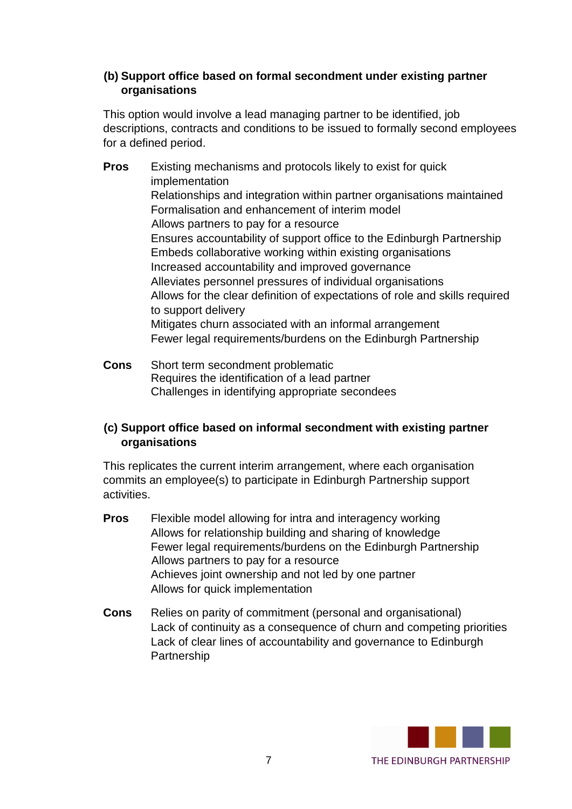## **(b) Support office based on formal secondment under existing partner organisations**

This option would involve a lead managing partner to be identified, job descriptions, contracts and conditions to be issued to formally second employees for a defined period.

- **Pros** Existing mechanisms and protocols likely to exist for quick implementation Relationships and integration within partner organisations maintained Formalisation and enhancement of interim model Allows partners to pay for a resource Ensures accountability of support office to the Edinburgh Partnership Embeds collaborative working within existing organisations Increased accountability and improved governance Alleviates personnel pressures of individual organisations Allows for the clear definition of expectations of role and skills required to support delivery Mitigates churn associated with an informal arrangement Fewer legal requirements/burdens on the Edinburgh Partnership
- **Cons** Short term secondment problematic Requires the identification of a lead partner Challenges in identifying appropriate secondees

# **(c) Support office based on informal secondment with existing partner organisations**

This replicates the current interim arrangement, where each organisation commits an employee(s) to participate in Edinburgh Partnership support activities.

- **Pros** Flexible model allowing for intra and interagency working Allows for relationship building and sharing of knowledge Fewer legal requirements/burdens on the Edinburgh Partnership Allows partners to pay for a resource Achieves joint ownership and not led by one partner Allows for quick implementation
- **Cons** Relies on parity of commitment (personal and organisational) Lack of continuity as a consequence of churn and competing priorities Lack of clear lines of accountability and governance to Edinburgh **Partnership**

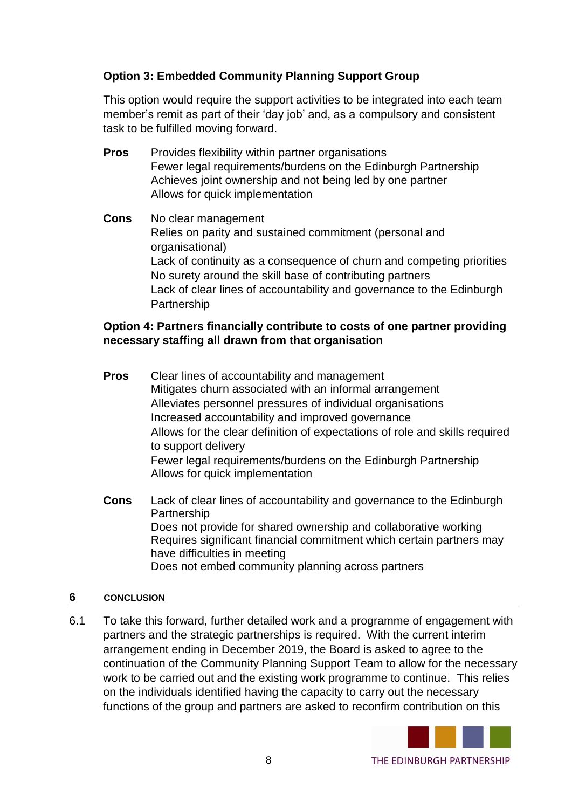# **Option 3: Embedded Community Planning Support Group**

This option would require the support activities to be integrated into each team member's remit as part of their 'day job' and, as a compulsory and consistent task to be fulfilled moving forward.

- **Pros** Provides flexibility within partner organisations Fewer legal requirements/burdens on the Edinburgh Partnership Achieves joint ownership and not being led by one partner Allows for quick implementation
- **Cons** No clear management Relies on parity and sustained commitment (personal and organisational) Lack of continuity as a consequence of churn and competing priorities No surety around the skill base of contributing partners Lack of clear lines of accountability and governance to the Edinburgh Partnership

## **Option 4: Partners financially contribute to costs of one partner providing necessary staffing all drawn from that organisation**

- **Pros** Clear lines of accountability and management Mitigates churn associated with an informal arrangement Alleviates personnel pressures of individual organisations Increased accountability and improved governance Allows for the clear definition of expectations of role and skills required to support delivery Fewer legal requirements/burdens on the Edinburgh Partnership Allows for quick implementation
- **Cons** Lack of clear lines of accountability and governance to the Edinburgh **Partnership** Does not provide for shared ownership and collaborative working Requires significant financial commitment which certain partners may have difficulties in meeting Does not embed community planning across partners

### **6 CONCLUSION**

6.1 To take this forward, further detailed work and a programme of engagement with partners and the strategic partnerships is required. With the current interim arrangement ending in December 2019, the Board is asked to agree to the continuation of the Community Planning Support Team to allow for the necessary work to be carried out and the existing work programme to continue. This relies on the individuals identified having the capacity to carry out the necessary functions of the group and partners are asked to reconfirm contribution on this



THE EDINBURGH PARTNERSHIP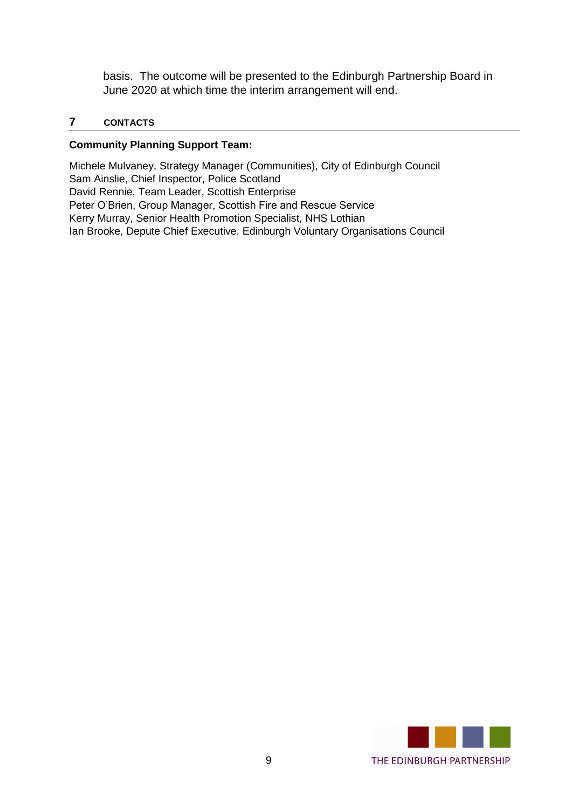basis. The outcome will be presented to the Edinburgh Partnership Board in June 2020 at which time the interim arrangement will end.

### **7 CONTACTS**

#### **Community Planning Support Team:**

Michele Mulvaney, Strategy Manager (Communities), City of Edinburgh Council Sam Ainslie, Chief Inspector, Police Scotland David Rennie, Team Leader, Scottish Enterprise Peter O'Brien, Group Manager, Scottish Fire and Rescue Service Kerry Murray, Senior Health Promotion Specialist, NHS Lothian Ian Brooke, Depute Chief Executive, Edinburgh Voluntary Organisations Council

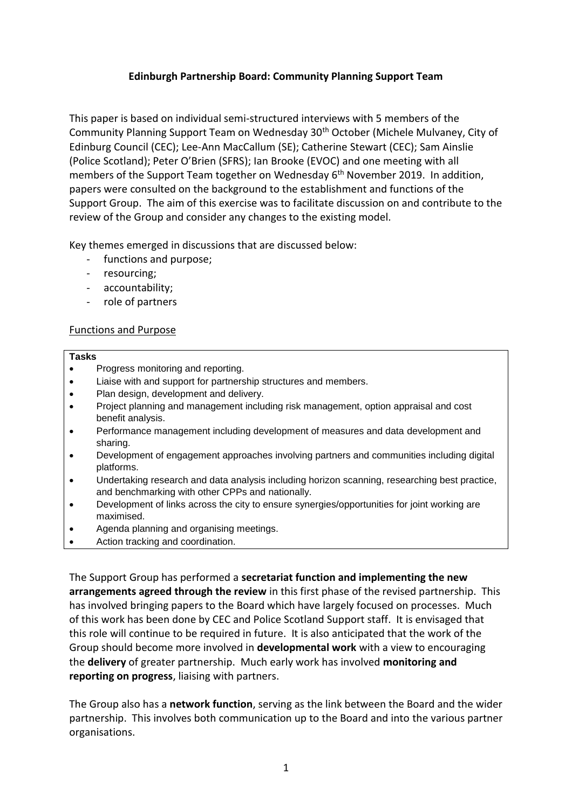### **Edinburgh Partnership Board: Community Planning Support Team**

This paper is based on individual semi-structured interviews with 5 members of the Community Planning Support Team on Wednesday 30th October (Michele Mulvaney, City of Edinburg Council (CEC); Lee-Ann MacCallum (SE); Catherine Stewart (CEC); Sam Ainslie (Police Scotland); Peter O'Brien (SFRS); Ian Brooke (EVOC) and one meeting with all members of the Support Team together on Wednesday 6<sup>th</sup> November 2019. In addition, papers were consulted on the background to the establishment and functions of the Support Group. The aim of this exercise was to facilitate discussion on and contribute to the review of the Group and consider any changes to the existing model.

Key themes emerged in discussions that are discussed below:

- functions and purpose;
- resourcing;
- accountability;
- role of partners

#### Functions and Purpose

#### **Tasks**

- Progress monitoring and reporting.
- Liaise with and support for partnership structures and members.
- Plan design, development and delivery.
- Project planning and management including risk management, option appraisal and cost benefit analysis.
- Performance management including development of measures and data development and sharing.
- Development of engagement approaches involving partners and communities including digital platforms.
- Undertaking research and data analysis including horizon scanning, researching best practice, and benchmarking with other CPPs and nationally.
- Development of links across the city to ensure synergies/opportunities for joint working are maximised.
- Agenda planning and organising meetings.
- Action tracking and coordination.

The Support Group has performed a **secretariat function and implementing the new arrangements agreed through the review** in this first phase of the revised partnership. This has involved bringing papers to the Board which have largely focused on processes. Much of this work has been done by CEC and Police Scotland Support staff. It is envisaged that this role will continue to be required in future. It is also anticipated that the work of the Group should become more involved in **developmental work** with a view to encouraging the **delivery** of greater partnership. Much early work has involved **monitoring and reporting on progress**, liaising with partners.

The Group also has a **network function**, serving as the link between the Board and the wider partnership. This involves both communication up to the Board and into the various partner organisations.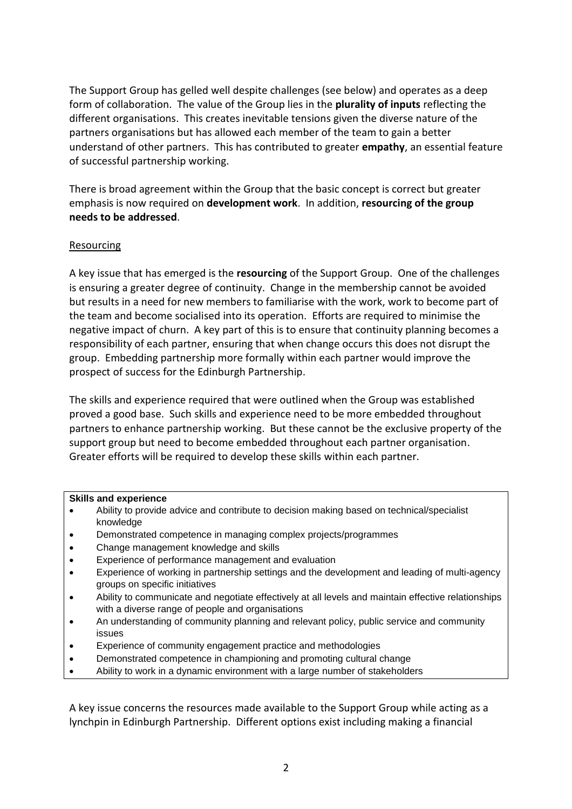The Support Group has gelled well despite challenges (see below) and operates as a deep form of collaboration. The value of the Group lies in the **plurality of inputs** reflecting the different organisations. This creates inevitable tensions given the diverse nature of the partners organisations but has allowed each member of the team to gain a better understand of other partners. This has contributed to greater **empathy**, an essential feature of successful partnership working.

There is broad agreement within the Group that the basic concept is correct but greater emphasis is now required on **development work**. In addition, **resourcing of the group needs to be addressed**.

#### **Resourcing**

A key issue that has emerged is the **resourcing** of the Support Group. One of the challenges is ensuring a greater degree of continuity. Change in the membership cannot be avoided but results in a need for new members to familiarise with the work, work to become part of the team and become socialised into its operation. Efforts are required to minimise the negative impact of churn. A key part of this is to ensure that continuity planning becomes a responsibility of each partner, ensuring that when change occurs this does not disrupt the group. Embedding partnership more formally within each partner would improve the prospect of success for the Edinburgh Partnership.

The skills and experience required that were outlined when the Group was established proved a good base. Such skills and experience need to be more embedded throughout partners to enhance partnership working. But these cannot be the exclusive property of the support group but need to become embedded throughout each partner organisation. Greater efforts will be required to develop these skills within each partner.

#### **Skills and experience**

- Ability to provide advice and contribute to decision making based on technical/specialist knowledge
- Demonstrated competence in managing complex projects/programmes
- Change management knowledge and skills
- Experience of performance management and evaluation
- Experience of working in partnership settings and the development and leading of multi-agency groups on specific initiatives
- Ability to communicate and negotiate effectively at all levels and maintain effective relationships with a diverse range of people and organisations
- An understanding of community planning and relevant policy, public service and community issues
- Experience of community engagement practice and methodologies
- Demonstrated competence in championing and promoting cultural change
- Ability to work in a dynamic environment with a large number of stakeholders

A key issue concerns the resources made available to the Support Group while acting as a lynchpin in Edinburgh Partnership. Different options exist including making a financial